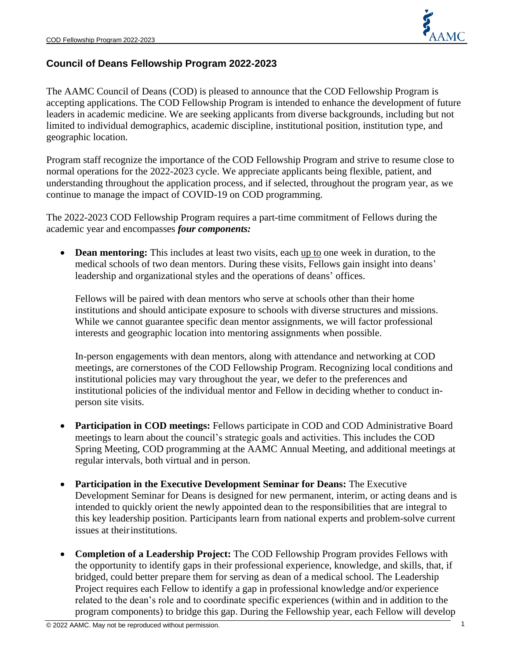

# **Council of Deans Fellowship Program 2022-2023**

The AAMC Council of Deans (COD) is pleased to announce that the COD Fellowship Program is accepting applications. The COD Fellowship Program is intended to enhance the development of future leaders in academic medicine. We are seeking applicants from diverse backgrounds, including but not limited to individual demographics, academic discipline, institutional position, institution type, and geographic location.

Program staff recognize the importance of the COD Fellowship Program and strive to resume close to normal operations for the 2022-2023 cycle. We appreciate applicants being flexible, patient, and understanding throughout the application process, and if selected, throughout the program year, as we continue to manage the impact of COVID-19 on COD programming.

The 2022-2023 COD Fellowship Program requires a part-time commitment of Fellows during the academic year and encompasses *four components:*

• **Dean mentoring:** This includes at least two visits, each up to one week in duration, to the medical schools of two dean mentors. During these visits, Fellows gain insight into deans' leadership and organizational styles and the operations of deans' offices.

Fellows will be paired with dean mentors who serve at schools other than their home institutions and should anticipate exposure to schools with diverse structures and missions. While we cannot guarantee specific dean mentor assignments, we will factor professional interests and geographic location into mentoring assignments when possible.

In-person engagements with dean mentors, along with attendance and networking at COD meetings, are cornerstones of the COD Fellowship Program. Recognizing local conditions and institutional policies may vary throughout the year, we defer to the preferences and institutional policies of the individual mentor and Fellow in deciding whether to conduct inperson site visits.

- **Participation in COD meetings:** Fellows participate in COD and COD Administrative Board meetings to learn about the council's strategic goals and activities. This includes the COD Spring Meeting, COD programming at the AAMC Annual Meeting, and additional meetings at regular intervals, both virtual and in person.
- **Participation in the Executive Development Seminar for Deans:** The Executive Development Seminar for Deans is designed for new permanent, interim, or acting deans and is intended to quickly orient the newly appointed dean to the responsibilities that are integral to this key leadership position. Participants learn from national experts and problem-solve current issues at theirinstitutions.
- **Completion of a Leadership Project:** The COD Fellowship Program provides Fellows with the opportunity to identify gaps in their professional experience, knowledge, and skills, that, if bridged, could better prepare them for serving as dean of a medical school. The Leadership Project requires each Fellow to identify a gap in professional knowledge and/or experience related to the dean's role and to coordinate specific experiences (within and in addition to the program components) to bridge this gap. During the Fellowship year, each Fellow will develop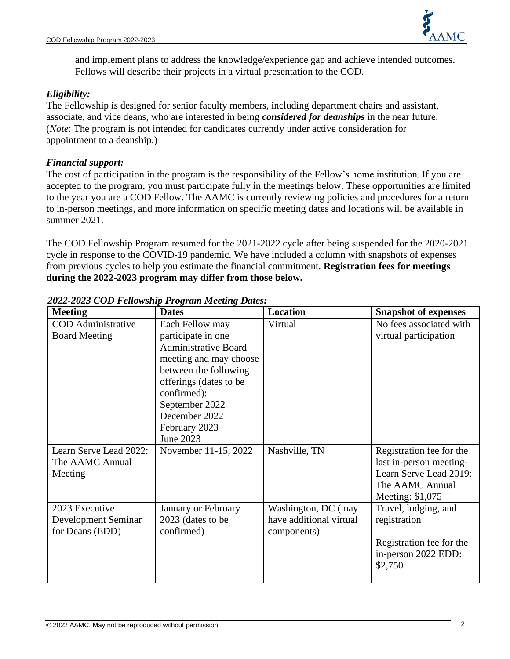

and implement plans to address the knowledge/experience gap and achieve intended outcomes. Fellows will describe their projects in a virtual presentation to the COD.

# *Eligibility:*

The Fellowship is designed for senior faculty members, including department chairs and assistant, associate, and vice deans, who are interested in being *considered for deanships* in the near future. (*Note*: The program is not intended for candidates currently under active consideration for appointment to a deanship.)

### *Financial support:*

The cost of participation in the program is the responsibility of the Fellow's home institution. If you are accepted to the program, you must participate fully in the meetings below. These opportunities are limited to the year you are a COD Fellow. The AAMC is currently reviewing policies and procedures for a return to in-person meetings, and more information on specific meeting dates and locations will be available in summer 2021.

The COD Fellowship Program resumed for the 2021-2022 cycle after being suspended for the 2020-2021 cycle in response to the COVID-19 pandemic. We have included a column with snapshots of expenses from previous cycles to help you estimate the financial commitment. **Registration fees for meetings during the 2022-2023 program may differ from those below.**

| <b>Meeting</b>                                           | <b>Dates</b>                                                                                                                                                                                                                      | <b>Location</b>                                               | <b>Snapshot of expenses</b>                                                                                          |
|----------------------------------------------------------|-----------------------------------------------------------------------------------------------------------------------------------------------------------------------------------------------------------------------------------|---------------------------------------------------------------|----------------------------------------------------------------------------------------------------------------------|
| <b>COD</b> Administrative<br><b>Board Meeting</b>        | Each Fellow may<br>participate in one<br><b>Administrative Board</b><br>meeting and may choose<br>between the following<br>offerings (dates to be<br>confirmed):<br>September 2022<br>December 2022<br>February 2023<br>June 2023 | Virtual                                                       | No fees associated with<br>virtual participation                                                                     |
| Learn Serve Lead 2022:<br>The AAMC Annual<br>Meeting     | November 11-15, 2022                                                                                                                                                                                                              | Nashville, TN                                                 | Registration fee for the<br>last in-person meeting-<br>Learn Serve Lead 2019:<br>The AAMC Annual<br>Meeting: \$1,075 |
| 2023 Executive<br>Development Seminar<br>for Deans (EDD) | January or February<br>2023 (dates to be<br>confirmed)                                                                                                                                                                            | Washington, DC (may<br>have additional virtual<br>components) | Travel, lodging, and<br>registration<br>Registration fee for the<br>in-person 2022 EDD:<br>\$2,750                   |

# *2022-2023 COD Fellowship Program Meeting Dates:*